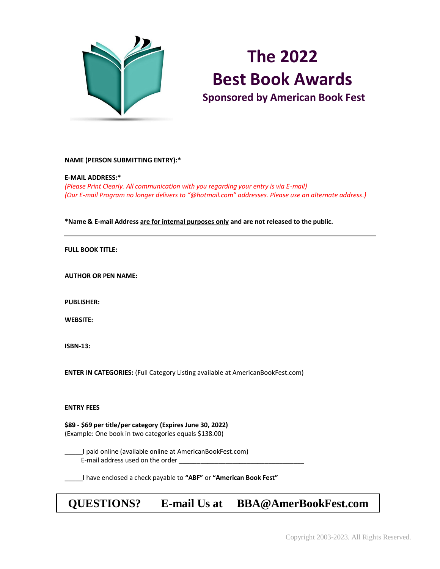

# **The 2022 Best Book Awards Sponsored by American Book Fest**

#### **NAME (PERSON SUBMITTING ENTRY):\***

#### **E-MAIL ADDRESS:\***

*(Please Print Clearly. All communication with you regarding your entry is via E-mail) (Our E-mail Program no longer delivers to "@hotmail.com" addresses. Please use an alternate address.)*

#### **\*Name & E-mail Address are for internal purposes only and are not released to the public.**

#### **FULL BOOK TITLE:**

**AUTHOR OR PEN NAME:** 

**PUBLISHER:**

**WEBSITE:** 

**ISBN-13:** 

**ENTER IN CATEGORIES:** (Full Category Listing available at AmericanBookFest.com)

#### **ENTRY FEES**

**\$89 - \$69 per title/per category (Expires June 30, 2022)** (Example: One book in two categories equals \$138.00)

\_\_\_\_\_I paid online (available online at AmericanBookFest.com) E-mail address used on the order

\_\_\_\_\_I have enclosed a check payable to **"ABF"** or **"American Book Fest"**

# **QUESTIONS? E-mail Us at BBA@AmerBookFest.com**